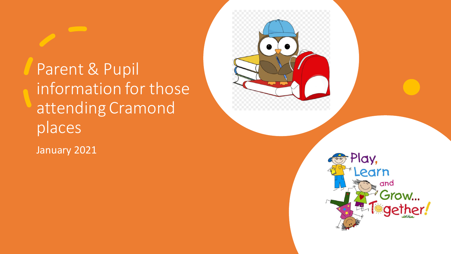Parent & Pupil information for those attending Cramond places

January 2021

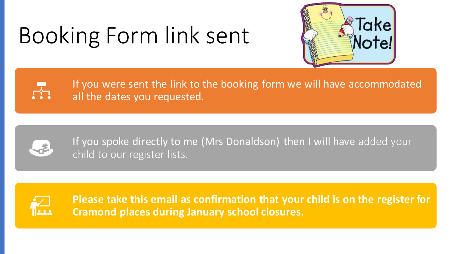# Booking Form link sent



If you were sent the link to the booking form we will have accommodated all the dates you requested.



 $\frac{1}{\sqrt{2}}$ 

If you spoke directly to me (Mrs Donaldson) then I will have added your child to our register lists.



**Please take this email as confirmation that your child is on the register for Cramond places during January school closures.**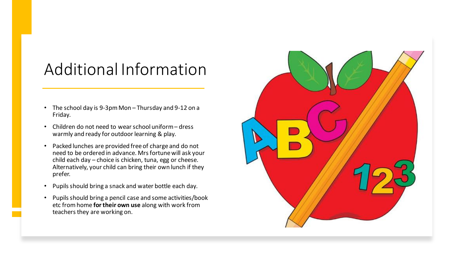### Additional Information

- The school day is 9-3pm Mon Thursday and 9-12 on a Friday.
- Children do not need to wear school uniform dress warmly and ready for outdoor learning & play.
- Packed lunches are provided free of charge and do not need to be ordered in advance. Mrs fortune will ask your child each day – choice is chicken, tuna, egg or cheese. Alternatively, your child can bring their own lunch if they prefer.
- Pupils should bring a snack and water bottle each day.
- Pupils should bring a pencil case and some activities/book etc from home **for their own use** along with work from teachers they are working on.

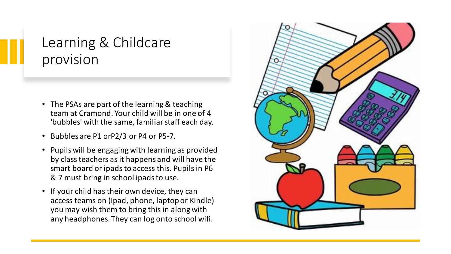#### Learning & Childcare provision

- The PSAs are part of the learning & teaching team at Cramond. Your child will be in one of 4 'bubbles' with the same, familiar staff each day.
- Bubbles are P1 orP2/3 or P4 or P5-7.
- Pupils will be engaging with learning as provided by class teachers as it happens and will have the smart board or ipads to access this. Pupils in P6 & 7 must bring in school ipads to use.
- If your child has their own device, they can access teams on (Ipad, phone, laptop or Kindle) you may wish them to bring this in along with any headphones. They can log onto school wifi.

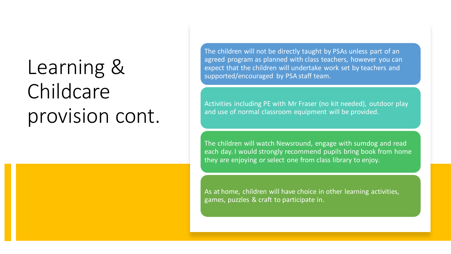## Learning & Childcare provision cont.

The children will not be directly taught by PSAs unless part of an agreed program as planned with class teachers, however you can expect that the children will undertake work set by teachers and supported/encouraged by PSA staff team.

Activities including PE with Mr Fraser (no kit needed), outdoor play and use of normal classroom equipment will be provided.

The children will watch Newsround, engage with sumdog and read each day. I would strongly recommend pupils bring book from home they are enjoying or select one from class library to enjoy.

As at home, children will have choice in other learning activities, games, puzzles & craft to participate in.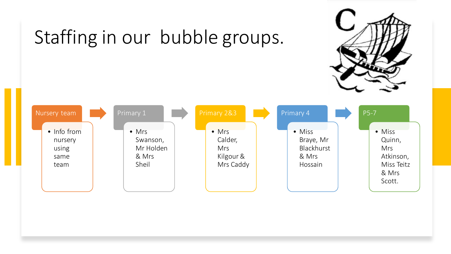

#### Nursery team • Info from nursery using same team Primary 1 • Mrs Swanson, Mr Holden & Mrs Sheil • Mrs Calder, Mrs Kilgour & Mrs Caddy Primary 4 • Miss Braye, Mr Blackhurst & Mrs Hossain P5-7 • Miss Quinn, Mrs Atkinson, Miss Teitz & Mrs Scott.

## Staffing in our bubble groups.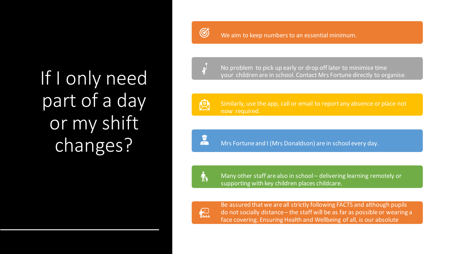If I only need part of a day or my shift changes?

G

We aim to keep numbers to an essential minimum.

No problem to pick up early or drop off later to minimise time your children are in school. Contact Mrs Fortune directly to organise.

人

Similarly, use the app, call or email to report any absence or place not now required.

 $\frac{1}{\ln 2}$ 

Mrs Fortune and I (Mrs Donaldson) are in school every day.



Many other staff are also in school – delivering learning remotely or supporting with key children places childcare.



priority.

Be assured that we are all strictly following FACTS and although pupils do not socially distance – the staff will be as far as possible or wearing a face covering. Ensuring Health and Wellbeing of all, is our absolute